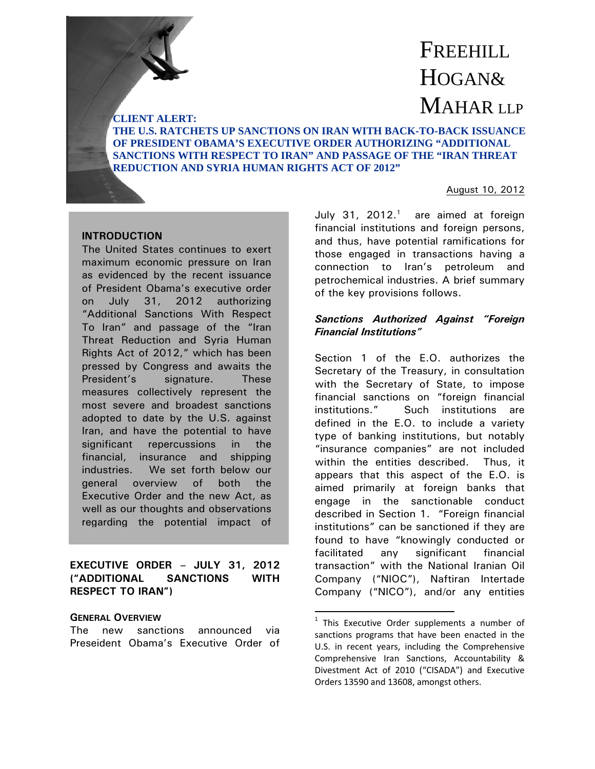# FREEHILL HOGAN& MAHAR LLP

#### **CLIENT ALERT: THE U.S. RATCHETS UP SANCTIONS ON IRAN WITH BACK-TO-BACK ISSUANCE OF PRESIDENT OBAMA'S EXECUTIVE ORDER AUTHORIZING "ADDITIONAL SANCTIONS WITH RESPECT TO IRAN" AND PASSAGE OF THE "IRAN THREAT REDUCTION AND SYRIA HUMAN RIGHTS ACT OF 2012"**

#### August 10, 2012

#### **INTRODUCTION**

The United States continues to exert maximum economic pressure on Iran as evidenced by the recent issuance of President Obama's executive order on July 31, 2012 authorizing "Additional Sanctions With Respect To Iran" and passage of the "Iran Threat Reduction and Syria Human Rights Act of 2012," which has been pressed by Congress and awaits the President's signature. These measures collectively represent the most severe and broadest sanctions adopted to date by the U.S. against Iran, and have the potential to have significant repercussions in the financial, insurance and shipping industries. We set forth below our general overview of both the Executive Order and the new Act, as well as our thoughts and observations regarding the potential impact of

#### **EXECUTIVE ORDER – JULY 31, 2012 ("ADDITIONAL SANCTIONS WITH RESPECT TO IRAN")**

#### **GENERAL OVERVIEW**

The new sanctions announced via Preseident Obama's Executive Order of July 31,  $2012.<sup>1</sup>$ are aimed at foreign financial institutions and foreign persons, and thus, have potential ramifications for those engaged in transactions having a connection to Iran's petroleum and petrochemical industries. A brief summary of the key provisions follows.

#### *Sanctions Authorized Against "Foreign Financial Institutions"*

Section 1 of the E.O. authorizes the Secretary of the Treasury, in consultation with the Secretary of State, to impose financial sanctions on "foreign financial institutions." Such institutions are defined in the E.O. to include a variety type of banking institutions, but notably "insurance companies" are not included within the entities described. Thus, it appears that this aspect of the E.O. is aimed primarily at foreign banks that engage in the sanctionable conduct described in Section 1. "Foreign financial institutions" can be sanctioned if they are found to have "knowingly conducted or facilitated any significant financial transaction" with the National Iranian Oil Company ("NIOC"), Naftiran Intertade Company ("NICO"), and/or any entities

 $1$  This Executive Order supplements a number of sanctions programs that have been enacted in the U.S. in recent years, including the Comprehensive Comprehensive Iran Sanctions, Accountability & Divestment Act of 2010 ("CISADA") and Executive Orders 13590 and 13608, amongst others.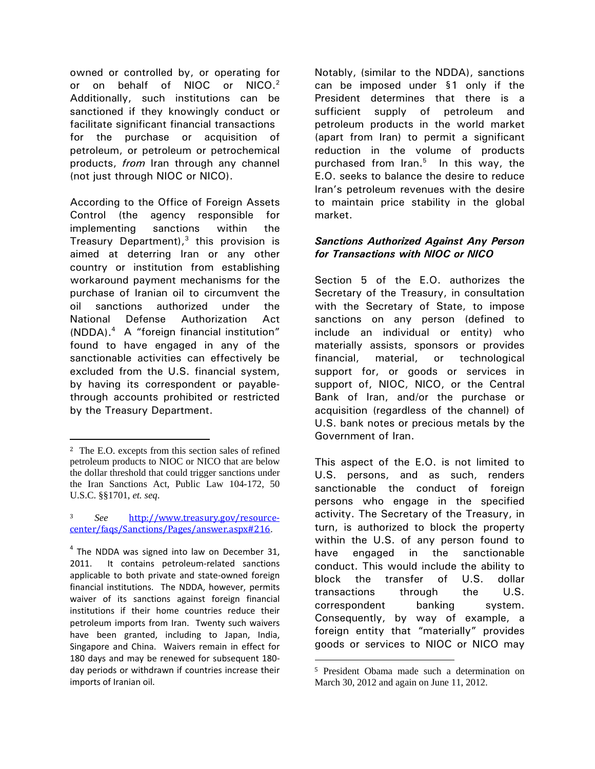owned or controlled by, or operating for or on behalf of NIOC or NICO.<sup>2</sup> Additionally, such institutions can be sanctioned if they knowingly conduct or facilitate significant financial transactions for the purchase or acquisition of petroleum, or petroleum or petrochemical products, *from* Iran through any channel (not just through NIOC or NICO).

According to the Office of Foreign Assets Control (the agency responsible for implementing sanctions within the Treasury Department),<sup>3</sup> this provision is aimed at deterring Iran or any other country or institution from establishing workaround payment mechanisms for the purchase of Iranian oil to circumvent the oil sanctions authorized under the National Defense Authorization Act (NDDA).4 A "foreign financial institution" found to have engaged in any of the sanctionable activities can effectively be excluded from the U.S. financial system, by having its correspondent or payablethrough accounts prohibited or restricted by the Treasury Department.

Notably, (similar to the NDDA), sanctions can be imposed under §1 only if the President determines that there is a sufficient supply of petroleum and petroleum products in the world market (apart from Iran) to permit a significant reduction in the volume of products purchased from Iran.<sup>5</sup> In this way, the E.O. seeks to balance the desire to reduce Iran's petroleum revenues with the desire to maintain price stability in the global market.

# *Sanctions Authorized Against Any Person for Transactions with NIOC or NICO*

Section 5 of the E.O. authorizes the Secretary of the Treasury, in consultation with the Secretary of State, to impose sanctions on any person (defined to include an individual or entity) who materially assists, sponsors or provides financial, material, or technological support for, or goods or services in support of, NIOC, NICO, or the Central Bank of Iran, and/or the purchase or acquisition (regardless of the channel) of U.S. bank notes or precious metals by the Government of Iran.

This aspect of the E.O. is not limited to U.S. persons, and as such, renders sanctionable the conduct of foreign persons who engage in the specified activity. The Secretary of the Treasury, in turn, is authorized to block the property within the U.S. of any person found to have engaged in the sanctionable conduct. This would include the ability to block the transfer of U.S. dollar transactions through the U.S. correspondent banking system. Consequently, by way of example, a foreign entity that "materially" provides goods or services to NIOC or NICO may

 <sup>2</sup> The E.O. excepts from this section sales of refined petroleum products to NIOC or NICO that are below the dollar threshold that could trigger sanctions under the Iran Sanctions Act, Public Law 104-172, 50 U.S.C. §§1701, *et. seq*.

<sup>3</sup> *See* http://www.treasury.gov/resource‐ center/faqs/Sanctions/Pages/answer.aspx#216.

 $4$  The NDDA was signed into law on December 31, 2011. It contains petroleum-related sanctions applicable to both private and state‐owned foreign financial institutions. The NDDA, however, permits waiver of its sanctions against foreign financial institutions if their home countries reduce their petroleum imports from Iran. Twenty such waivers have been granted, including to Japan, India, Singapore and China. Waivers remain in effect for 180 days and may be renewed for subsequent 180‐ day periods or withdrawn if countries increase their imports of Iranian oil.

 <sup>5</sup> President Obama made such a determination on March 30, 2012 and again on June 11, 2012.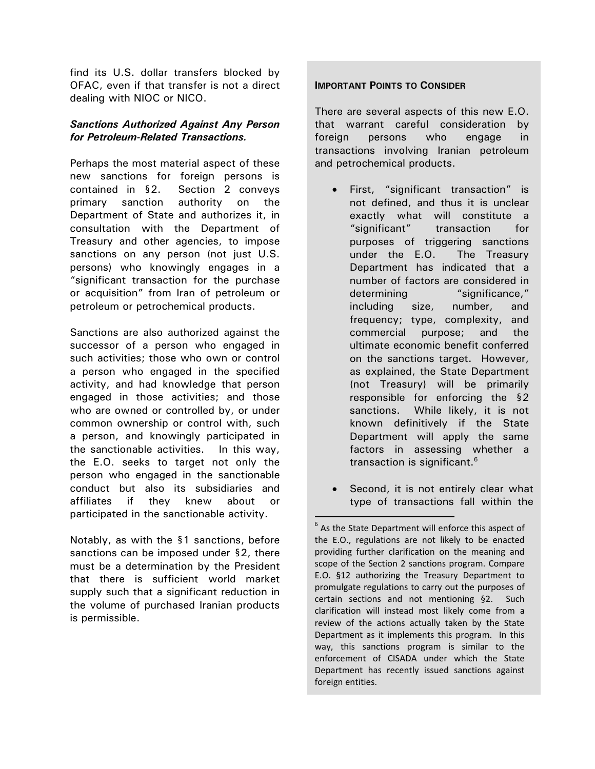find its U.S. dollar transfers blocked by OFAC, even if that transfer is not a direct dealing with NIOC or NICO.

# *Sanctions Authorized Against Any Person for Petroleum-Related Transactions.*

Perhaps the most material aspect of these new sanctions for foreign persons is contained in §2. Section 2 conveys primary sanction authority on the Department of State and authorizes it, in consultation with the Department of Treasury and other agencies, to impose sanctions on any person (not just U.S. persons) who knowingly engages in a "significant transaction for the purchase or acquisition" from Iran of petroleum or petroleum or petrochemical products.

Sanctions are also authorized against the successor of a person who engaged in such activities; those who own or control a person who engaged in the specified activity, and had knowledge that person engaged in those activities; and those who are owned or controlled by, or under common ownership or control with, such a person, and knowingly participated in the sanctionable activities. In this way, the E.O. seeks to target not only the person who engaged in the sanctionable conduct but also its subsidiaries and affiliates if they knew about or participated in the sanctionable activity.

Notably, as with the §1 sanctions, before sanctions can be imposed under §2, there must be a determination by the President that there is sufficient world market supply such that a significant reduction in the volume of purchased Iranian products is permissible.

#### **IMPORTANT POINTS TO CONSIDER**

There are several aspects of this new E.O. that warrant careful consideration by foreign persons who engage in transactions involving Iranian petroleum and petrochemical products.

- First, "significant transaction" is not defined, and thus it is unclear exactly what will constitute a "significant" transaction for purposes of triggering sanctions under the E.O. The Treasury Department has indicated that a number of factors are considered in determining "significance," including size, number, and frequency; type, complexity, and commercial purpose; and the ultimate economic benefit conferred on the sanctions target. However, as explained, the State Department (not Treasury) will be primarily responsible for enforcing the §2 sanctions. While likely, it is not known definitively if the State Department will apply the same factors in assessing whether a transaction is significant.<sup>6</sup>
- Second, it is not entirely clear what type of transactions fall within the

 $6$  As the State Department will enforce this aspect of the E.O., regulations are not likely to be enacted providing further clarification on the meaning and scope of the Section 2 sanctions program. Compare E.O. §12 authorizing the Treasury Department to promulgate regulations to carry out the purposes of certain sections and not mentioning §2. Such clarification will instead most likely come from a review of the actions actually taken by the State Department as it implements this program. In this way, this sanctions program is similar to the enforcement of CISADA under which the State Department has recently issued sanctions against foreign entities.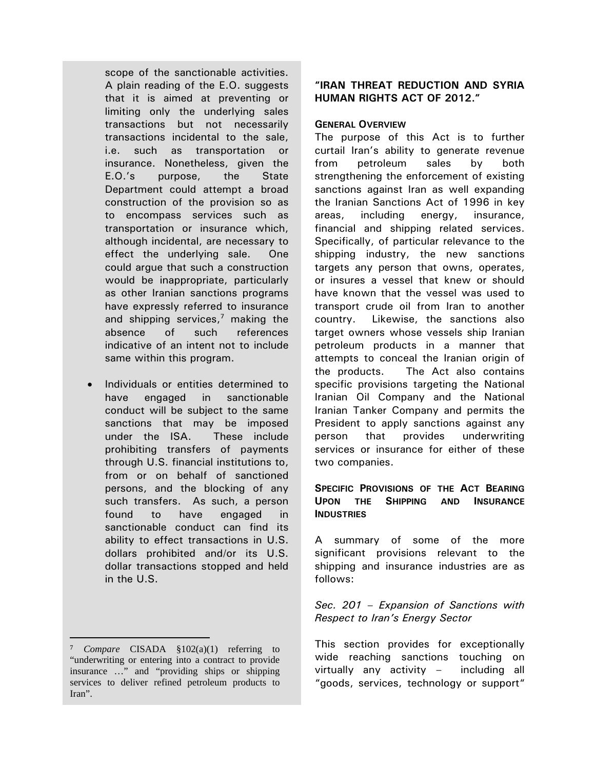scope of the sanctionable activities. A plain reading of the E.O. suggests that it is aimed at preventing or limiting only the underlying sales transactions but not necessarily transactions incidental to the sale, i.e. such as transportation or insurance. Nonetheless, given the E.O.'s purpose, the State Department could attempt a broad construction of the provision so as to encompass services such as transportation or insurance which, although incidental, are necessary to effect the underlying sale. One could argue that such a construction would be inappropriate, particularly as other Iranian sanctions programs have expressly referred to insurance and shipping services,<sup>7</sup> making the absence of such references indicative of an intent not to include same within this program.

 Individuals or entities determined to have engaged in sanctionable conduct will be subject to the same sanctions that may be imposed under the ISA. These include prohibiting transfers of payments through U.S. financial institutions to, from or on behalf of sanctioned persons, and the blocking of any such transfers. As such, a person found to have engaged in sanctionable conduct can find its ability to effect transactions in U.S. dollars prohibited and/or its U.S. dollar transactions stopped and held in the U.S.

# **"IRAN THREAT REDUCTION AND SYRIA HUMAN RIGHTS ACT OF 2012."**

#### **GENERAL OVERVIEW**

The purpose of this Act is to further curtail Iran's ability to generate revenue from petroleum sales by both strengthening the enforcement of existing sanctions against Iran as well expanding the Iranian Sanctions Act of 1996 in key areas, including energy, insurance, financial and shipping related services. Specifically, of particular relevance to the shipping industry, the new sanctions targets any person that owns, operates, or insures a vessel that knew or should have known that the vessel was used to transport crude oil from Iran to another country. Likewise, the sanctions also target owners whose vessels ship Iranian petroleum products in a manner that attempts to conceal the Iranian origin of the products. The Act also contains specific provisions targeting the National Iranian Oil Company and the National Iranian Tanker Company and permits the President to apply sanctions against any person that provides underwriting services or insurance for either of these two companies.

# **SPECIFIC PROVISIONS OF THE ACT BEARING UPON THE SHIPPING AND INSURANCE INDUSTRIES**

A summary of some of the more significant provisions relevant to the shipping and insurance industries are as follows:

# *Sec. 201* – *Expansion of Sanctions with Respect to Iran's Energy Sector*

This section provides for exceptionally wide reaching sanctions touching on virtually any activity – including all "goods, services, technology or support"

<sup>7</sup> *Compare* CISADA §102(a)(1) referring to "underwriting or entering into a contract to provide insurance …" and "providing ships or shipping services to deliver refined petroleum products to Iran".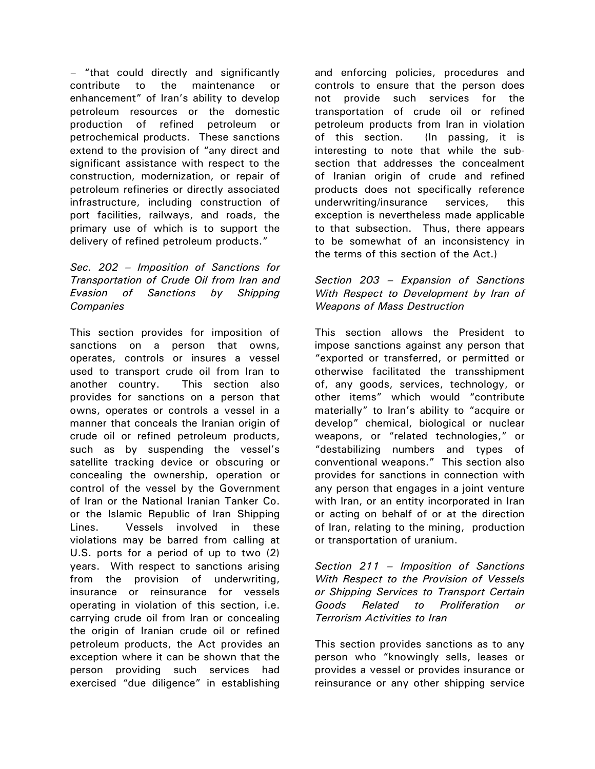– "that could directly and significantly contribute to the maintenance or enhancement" of Iran's ability to develop petroleum resources or the domestic production of refined petroleum or petrochemical products. These sanctions extend to the provision of "any direct and significant assistance with respect to the construction, modernization, or repair of petroleum refineries or directly associated infrastructure, including construction of port facilities, railways, and roads, the primary use of which is to support the delivery of refined petroleum products."

# *Sec. 202 – Imposition of Sanctions for Transportation of Crude Oil from Iran and Evasion of Sanctions by Shipping Companies*

This section provides for imposition of sanctions on a person that owns, operates, controls or insures a vessel used to transport crude oil from Iran to another country. This section also provides for sanctions on a person that owns, operates or controls a vessel in a manner that conceals the Iranian origin of crude oil or refined petroleum products, such as by suspending the vessel's satellite tracking device or obscuring or concealing the ownership, operation or control of the vessel by the Government of Iran or the National Iranian Tanker Co. or the Islamic Republic of Iran Shipping Lines. Vessels involved in these violations may be barred from calling at U.S. ports for a period of up to two (2) years. With respect to sanctions arising from the provision of underwriting, insurance or reinsurance for vessels operating in violation of this section, i.e. carrying crude oil from Iran or concealing the origin of Iranian crude oil or refined petroleum products, the Act provides an exception where it can be shown that the person providing such services had exercised "due diligence" in establishing

and enforcing policies, procedures and controls to ensure that the person does not provide such services for the transportation of crude oil or refined petroleum products from Iran in violation of this section. (In passing, it is interesting to note that while the subsection that addresses the concealment of Iranian origin of crude and refined products does not specifically reference underwriting/insurance services, this exception is nevertheless made applicable to that subsection. Thus, there appears to be somewhat of an inconsistency in the terms of this section of the Act.)

# *Section 203 – Expansion of Sanctions With Respect to Development by Iran of Weapons of Mass Destruction*

This section allows the President to impose sanctions against any person that "exported or transferred, or permitted or otherwise facilitated the transshipment of, any goods, services, technology, or other items" which would "contribute materially" to Iran's ability to "acquire or develop" chemical, biological or nuclear weapons, or "related technologies," or "destabilizing numbers and types of conventional weapons." This section also provides for sanctions in connection with any person that engages in a joint venture with Iran, or an entity incorporated in Iran or acting on behalf of or at the direction of Iran, relating to the mining, production or transportation of uranium.

*Section 211 – Imposition of Sanctions With Respect to the Provision of Vessels or Shipping Services to Transport Certain Goods Related to Proliferation or Terrorism Activities to Iran* 

This section provides sanctions as to any person who "knowingly sells, leases or provides a vessel or provides insurance or reinsurance or any other shipping service